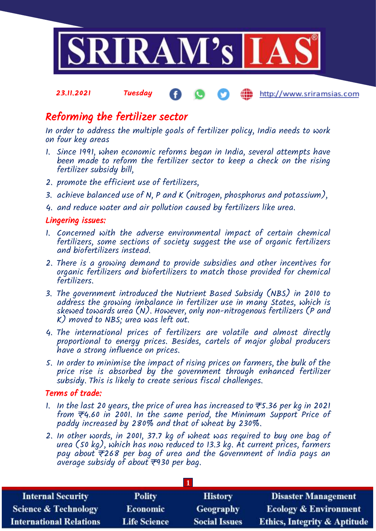

## Reforming the fertilizer sector

In order to address the multiple goals of fertilizer policy, India needs to work on four key areas

- 1. Since 1991, when economic reforms began in India, several attempts have been made to reform the fertilizer sector to keep a check on the rising fertilizer subsidy bill,
- 2. promote the efficient use of fertilizers,
- 3. achieve balanced use of N, P and K (nitrogen, phosphorus and potassium),
- 4. and reduce water and air pollution caused by fertilizers like urea.

#### Lingering issues:

- 1. Concerned with the adverse environmental impact of certain chemical fertilizers, some sections of society suggest the use of organic fertilizers and biofertilizers instead.
- 2. There is a growing demand to provide subsidies and other incentives for organic fertilizers and biofertilizers to match those provided for chemical fertilizers.
- 3. The government introduced the Nutrient Based Subsidy (NBS) in 2010 to address the growing imbalance in fertilizer use in many States, which is skewed towards urea (N). However, only non-nitrogenous fertilizers (P and K) moved to NBS; urea was left out.
- 4. The international prices of fertilizers are volatile and almost directly proportional to energy prices. Besides, cartels of major global producers have a strong influence on prices.
- 5. In order to minimise the impact of rising prices on farmers, the bulk of the price rise is absorbed by the government through enhanced fertilizer subsidy. This is likely to create serious fiscal challenges.

#### Terms of trade:

- 1. In the last 20 years, the price of urea has increased to  $\overline{\tau}$ 5.36 per kg in 2021 from  $\overline{\tau}$ 4.60 in 2001. In the same period, the Minimum Support Price of paddy increased by 280% and that of wheat by 230%.
- 2. In other words, in 2001, 37.7 kg of wheat was required to buy one bag of urea (50 kg), which has now reduced to 13.3 kg. At current prices, farmers pay about  $\overline{\tau}$ 268 per bag of urea and the Government of India pays an average subsidy of about  $\overline{z}$ 930 per bag.

| <b>Internal Security</b>        | <b>Polity</b>       | <b>History</b>       | <b>Disaster Management</b>              |
|---------------------------------|---------------------|----------------------|-----------------------------------------|
| <b>Science &amp; Technology</b> | <b>Economic</b>     | Geography            | <b>Ecology &amp; Environment</b>        |
| <b>International Relations</b>  | <b>Life Science</b> | <b>Social Issues</b> | <b>Ethics, Integrity &amp; Aptitude</b> |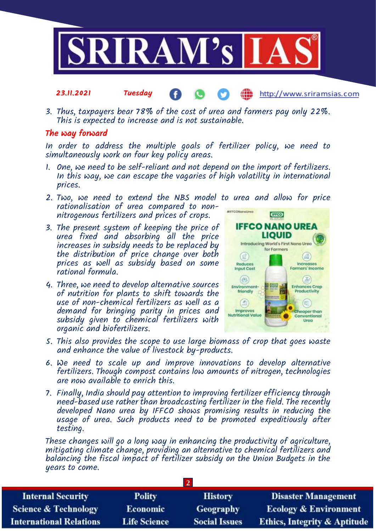

3. Thus, taxpayers bear 78% of the cost of urea and farmers pay only 22%. This is expected to increase and is not sustainable.

#### The way forward

23.11.2021 Tuesday

In order to address the multiple goals of fertilizer policy, we need to simultaneously work on four key policy areas.

- 1. One, we need to be self-reliant and not depend on the import of fertilizers. In this way, we can escape the vagaries of high volatility in international prices.
- 2. Two, we need to extend the NBS model to urea and allow for price rationalisation of urea compared to non-**MIFFCONGOOUMO** nitrogenous fertilizers and prices of crops.
- 3. The present system of keeping the price of urea fixed and absorbing all the price increases in subsidy needs to be replaced by the distribution of price change over both prices as well as subsidy based on some rational formula.
- 4. Three, we need to develop alternative sources of nutrition for plants to shift towards the use of non-chemical fertilizers as well as a demand for bringing parity in prices and subsidy given to chemical fertilizers with organic and biofertilizers.



http://www.sriramsias.com

- 5. This also provides the scope to use large biomass of crop that goes waste and enhance the value of livestock by-products.
- 6. We need to scale up and improve innovations to develop alternative fertilizers. Though compost contains low amounts of nitrogen, technologies are now available to enrich this.
- 7. Finally, India should pay attention to improving fertilizer efficiency through need-based use rather than broadcasting fertilizer in the field. The recently developed Nano urea by IFFCO shows promising results in reducing the usage of urea. Such products need to be promoted expeditiously after testing.

These changes will go a long way in enhancing the productivity of agriculture, mitigating climate change, providing an alternative to chemical fertilizers and balancing the fiscal impact of fertilizer subsidy on the Union Budgets in the years to come.

| <b>Internal Security</b>        | <b>Polity</b>       | <b>History</b>       | <b>Disaster Management</b>              |  |
|---------------------------------|---------------------|----------------------|-----------------------------------------|--|
| <b>Science &amp; Technology</b> | <b>Economic</b>     | Geography            | <b>Ecology &amp; Environment</b>        |  |
| <b>International Relations</b>  | <b>Life Science</b> | <b>Social Issues</b> | <b>Ethics, Integrity &amp; Aptitude</b> |  |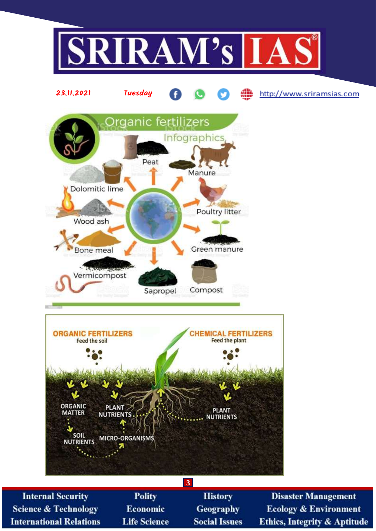

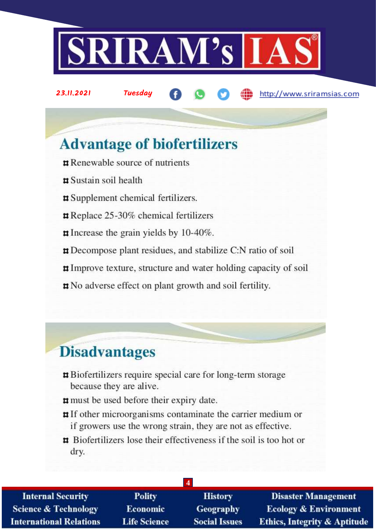

23.11.2021 Tuesday

http://www.sriramsias.com

# **Advantage of biofertilizers**

- $\sharp$  Renewable source of nutrients
- $\sharp$  Sustain soil health
- **#** Supplement chemical fertilizers.
- Replace 25-30% chemical fertilizers
- $\sharp$  Increase the grain yields by 10-40%.
- **p** Decompose plant residues, and stabilize C:N ratio of soil
- **#Improve texture, structure and water holding capacity of soil**
- **#** No adverse effect on plant growth and soil fertility.

# **Disadvantages**

- **#** Biofertilizers require special care for long-term storage because they are alive.
- # must be used before their expiry date.
- **#** If other microorganisms contaminate the carrier medium or if growers use the wrong strain, they are not as effective.
- **#** Biofertilizers lose their effectiveness if the soil is too hot or dry.

| <b>Internal Security</b>        | <b>Polity</b>       | <b>History</b>       | <b>Disaster Management</b>              |  |
|---------------------------------|---------------------|----------------------|-----------------------------------------|--|
| <b>Science &amp; Technology</b> | <b>Economic</b>     | <b>Geography</b>     | <b>Ecology &amp; Environment</b>        |  |
| <b>International Relations</b>  | <b>Life Science</b> | <b>Social Issues</b> | <b>Ethics, Integrity &amp; Aptitude</b> |  |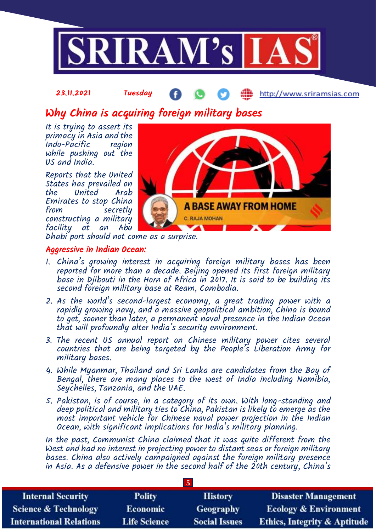

Why China is acquiring foreign military bases

It is trying to assert its primacy in Asia and the Indo-Pacific region while pushing out the US and India.

Reports that the United States has prevailed on United Emirates to stop China from secretly constructing a military facility at an Abu



Dhabi port should not come as a surprise.

#### Aggressive in Indian Ocean:

- 1. China's growing interest in acquiring foreign military bases has been reported for more than a decade. Beijing opened its first foreign military base in Djibouti in the Horn of Africa in 2017. It is said to be building its second foreign military base at Ream, Cambodia.
- 2. As the world's second-largest economy, a great trading power with a rapidly growing navy, and a massive geopolitical ambition, China is bound to get, sooner than later, a permanent naval presence in the Indian Ocean that will profoundly alter India's security environment.
- 3. The recent US annual report on Chinese military power cites several countries that are being targeted by the People's Liberation Army for military bases.
- 4. While Myanmar, Thailand and Sri Lanka are candidates from the Bay of Bengal, there are many places to the west of India including Namibia, Seychelles, Tanzania, and the UAE.
- 5. Pakistan, is of course, in a category of its own. With long-standing and deep political and military ties to China, Pakistan is likely to emerge as the most important vehicle for Chinese naval power projection in the Indian Ocean, with significant implications for India's military planning.

In the past, Communist China claimed that it was quite different from the West and had no interest in projecting power to distant seas or foreign military bases. China also actively campaigned against the foreign military presence in Asia. As a defensive power in the second half of the 20th century, China's

**5**

| <b>Internal Security</b>        | <b>Polity</b>       | <b>History</b>       | <b>Disaster Management</b>              |
|---------------------------------|---------------------|----------------------|-----------------------------------------|
| <b>Science &amp; Technology</b> | <b>Economic</b>     | Geography            | <b>Ecology &amp; Environment</b>        |
| <b>International Relations</b>  | <b>Life Science</b> | <b>Social Issues</b> | <b>Ethics, Integrity &amp; Aptitude</b> |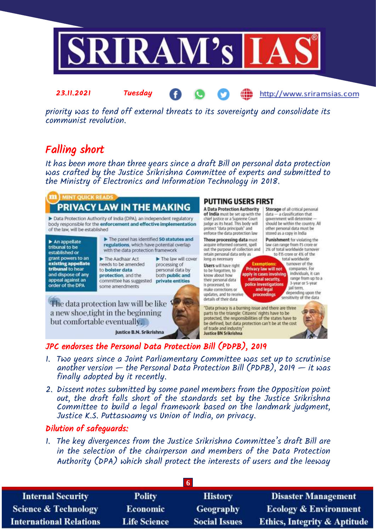

priority was to fend off external threats to its sovereignty and consolidate its communist revolution.

## Falling short

23.11.2021 Tuesday

It has been more than three years since a draft Bill on personal data protection was crafted by the Justice Srikrishna Committee of experts and submitted to the Ministry of Electronics and Information Technology in 2018.

# PRIVACY LAW IN THE MAKING

Data Protection Authority of India (DPA), an independent regulatory body responsible for the enforcement and effective implementation of the law, will be established.

 $\blacktriangleright$  An appellate<br>tribunal to be established or grant powers to an existing appellate tribunal to hear and dispose of any appeal against an order of the DPA

The panel has identified 50 statutes and regulations, which have potential overlap with the data protection framework

The Aadhaar Act needs to be amended. to bolster data protection, and the

processing of personal data by both public and committee has suggested private entities some amendments

The law will cover

The data protection law will be like a new shoe, tight in the beginning but comfortable eventually.

Justice B.N. Srikrishna

### **PUTTING USERS FIRST**

**A Data Protection Authority** of India must be set up with the chief justice or a Supreme Court judge as its head. This body will protect "data principals" and enforce the data protection law

Those processing data must acquire informed consent, spell out the purpose of collection and retain personal data only as long as necessary

Users will have right to be forgotten, to know about how their personal data is processed, to make corrections or updates, and to receive details of their data

Storage of all critical personal data - a classification that government will determine should be within the country. All other personal data must be stored as a copy in India

http://www.sriramsias.com

**Punishment** for violating the law can range from ₹5 crore or 2% of total worldwide turnover to ₹15 crore or 4% of the

total worldwide **Exemptions:** turnover of the Privacy law will not companies. For apply in cases involving national security.

individuals it can range from up to a 3-year or 5-year police investigations<br>and legal jail term. depending upon the sensitivity of the data

"Data privacy is a burning issue and there are three parts to the triangle: Citizens' rights have to be protected, the responsibilities of the states have to be defined, but data protection can't be at the cost of trade and industry Justice BN Srikrishna

proceedings

### JPC endorses the Personal Data Protection Bill (PDPB), 2019

- 1. Two years since a Joint Parliamentary Committee was set up to scrutinise another version — the Personal Data Protection Bill (PDPB), 2019 — it was finally adopted by it recently.
- 2. Dissent notes submitted by some panel members from the Opposition point out, the draft falls short of the standards set by the Justice Srikrishna Committee to build a legal framework based on the landmark judgment, Justice K.S. Puttaswamy vs Union of India, on privacy.

### Dilution of safeguards:

1. The key divergences from the Justice Srikrishna Committee's draft Bill are in the selection of the chairperson and members of the Data Protection Authority (DPA) which shall protect the interests of users and the leeway

| <b>Internal Security</b>        | <b>Polity</b>       | <b>History</b>       | <b>Disaster Management</b>              |
|---------------------------------|---------------------|----------------------|-----------------------------------------|
| <b>Science &amp; Technology</b> | <b>Economic</b>     | <b>Geography</b>     | <b>Ecology &amp; Environment</b>        |
| <b>International Relations</b>  | <b>Life Science</b> | <b>Social Issues</b> | <b>Ethics, Integrity &amp; Aptitude</b> |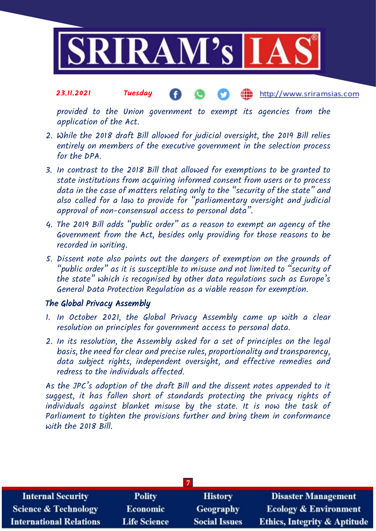

provided to the Union government to exempt its agencies from the application of the Act.

- 2. While the 2018 draft Bill allowed for judicial oversight, the 2019 Bill relies entirely on members of the executive government in the selection process for the DPA.
- 3. In contrast to the 2018 Bill that allowed for exemptions to be granted to state institutions from acquiring informed consent from users or to process data in the case of matters relating only to the "security of the state" and also called for a law to provide for "parliamentary oversight and judicial approval of non-consensual access to personal data".
- 4. The 2019 Bill adds "public order" as a reason to exempt an agency of the Government from the Act, besides only providing for those reasons to be recorded in writing.
- 5. Dissent note also points out the dangers of exemption on the grounds of "public order" as it is susceptible to misuse and not limited to "security of the state" which is recognised by other data regulations such as Europe's General Data Protection Regulation as a viable reason for exemption.

### The Global Privacy Assembly

- 1. In October 2021, the Global Privacy Assembly came up with a clear resolution on principles for government access to personal data.
- 2. In its resolution, the Assembly asked for a set of principles on the legal basis, the need for clear and precise rules, proportionality and transparency, data subject rights, independent oversight, and effective remedies and redress to the individuals affected.

As the JPC's adoption of the draft Bill and the dissent notes appended to it suggest, it has fallen short of standards protecting the privacy rights of individuals against blanket misuse by the state. It is now the task of Parliament to tighten the provisions further and bring them in conformance with the 2018 Bill.

| <b>Internal Security</b>        | <b>Polity</b>       | <b>History</b>       | <b>Disaster Management</b>              |
|---------------------------------|---------------------|----------------------|-----------------------------------------|
| <b>Science &amp; Technology</b> | <b>Economic</b>     | Geography            | <b>Ecology &amp; Environment</b>        |
| <b>International Relations</b>  | <b>Life Science</b> | <b>Social Issues</b> | <b>Ethics, Integrity &amp; Aptitude</b> |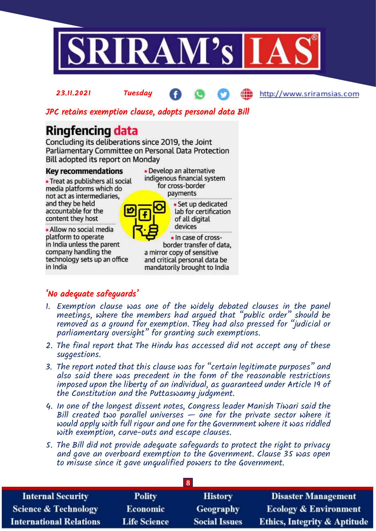

#### JPC retains exemption clause, adopts personal data Bill

## **Ringfencing data**

Concluding its deliberations since 2019, the Joint Parliamentary Committee on Personal Data Protection Bill adopted its report on Monday

#### **Key recommendations**

• Treat as publishers all social media platforms which do not act as intermediaries, and they be held accountable for the content they host

• Allow no social media platform to operate in India unless the parent company handling the technology sets up an office in India

• Develop an alternative indigenous financial system for cross-border payments



· Set up dedicated lab for certification of all digital devices · In case of cross-

border transfer of data, a mirror copy of sensitive and critical personal data be mandatorily brought to India

### 'No adequate safeguards'

- 1. Exemption clause was one of the widely debated clauses in the panel meetings, where the members had argued that "public order" should be removed as a ground for exemption. They had also pressed for "judicial or parliamentary oversight" for granting such exemptions.
- 2. The final report that The Hindu has accessed did not accept any of these suggestions.
- 3. The report noted that this clause was for "certain legitimate purposes" and also said there was precedent in the form of the reasonable restrictions imposed upon the liberty of an individual, as guaranteed under Article 19 of the Constitution and the Puttaswamy judgment.
- 4. In one of the longest dissent notes, Congress leader Manish Tiwari said the Bill created two parallel universes  $-$  one for the private sector where it would apply with full rigour and one for the Government where it was riddled with exemption, carve-outs and escape clauses.
- 5. The Bill did not provide adequate safeguards to protect the right to privacy and gave an overboard exemption to the Government. Clause 35 was open to misuse since it gave unqualified powers to the Government.

| <b>Internal Security</b>        | <b>Polity</b>       | <b>History</b>       | <b>Disaster Management</b>              |
|---------------------------------|---------------------|----------------------|-----------------------------------------|
| <b>Science &amp; Technology</b> | <b>Economic</b>     | Geography            | <b>Ecology &amp; Environment</b>        |
| <b>International Relations</b>  | <b>Life Science</b> | <b>Social Issues</b> | <b>Ethics, Integrity &amp; Aptitude</b> |